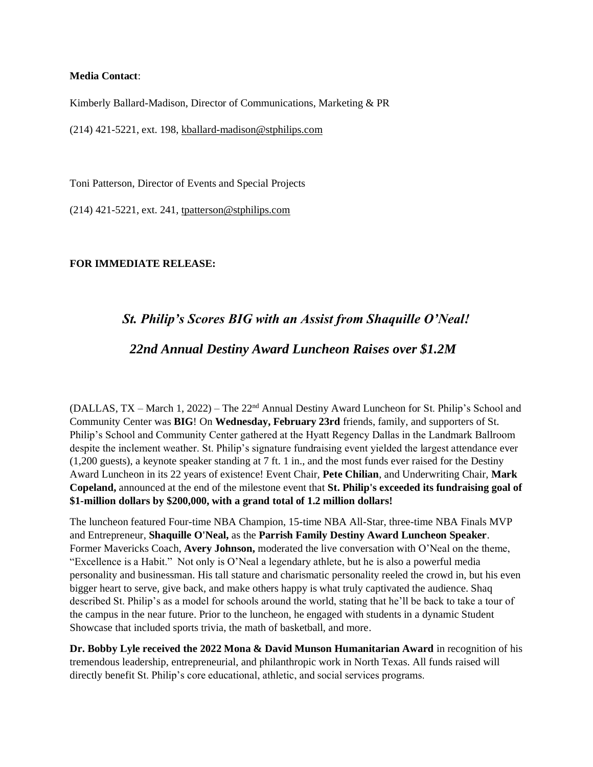#### **Media Contact**:

Kimberly Ballard-Madison, Director of Communications, Marketing & PR

(214) 421-5221, ext. 198, [kballard-madison@stphilips.com](mailto:kballard-madison@stphilips.com)

Toni Patterson, Director of Events and Special Projects

(214) 421-5221, ext. 241, [tpatterson@stphilips.com](mailto:tpatterson@stphilips.com)

### **FOR IMMEDIATE RELEASE:**

# *St. Philip's Scores BIG with an Assist from Shaquille O'Neal!*

## *22nd Annual Destiny Award Luncheon Raises over \$1.2M*

(DALLAS, TX – March 1, 2022) – The 22nd Annual Destiny Award Luncheon for St. Philip's School and Community Center was **BIG**! On **Wednesday, February 23rd** friends, family, and supporters of St. Philip's School and Community Center gathered at the Hyatt Regency Dallas in the Landmark Ballroom despite the inclement weather. St. Philip's signature fundraising event yielded the largest attendance ever (1,200 guests), a keynote speaker standing at 7 ft. 1 in., and the most funds ever raised for the Destiny Award Luncheon in its 22 years of existence! Event Chair, **Pete Chilian**, and Underwriting Chair, **Mark Copeland,** announced at the end of the milestone event that **St. Philip's exceeded its fundraising goal of \$1-million dollars by \$200,000, with a grand total of 1.2 million dollars!**

The luncheon featured Four-time NBA Champion, 15-time NBA All-Star, three-time NBA Finals MVP and Entrepreneur, **Shaquille O'Neal,** as the **Parrish Family Destiny Award Luncheon Speaker**. Former Mavericks Coach, **Avery Johnson,** moderated the live conversation with O'Neal on the theme, "Excellence is a Habit." Not only is O'Neal a legendary athlete, but he is also a powerful media personality and businessman. His tall stature and charismatic personality reeled the crowd in, but his even bigger heart to serve, give back, and make others happy is what truly captivated the audience. Shaq described St. Philip's as a model for schools around the world, stating that he'll be back to take a tour of the campus in the near future. Prior to the luncheon, he engaged with students in a dynamic Student Showcase that included sports trivia, the math of basketball, and more.

**Dr. Bobby Lyle received the 2022 Mona & David Munson Humanitarian Award** in recognition of his tremendous leadership, entrepreneurial, and philanthropic work in North Texas. All funds raised will directly benefit St. Philip's core educational, athletic, and social services programs.